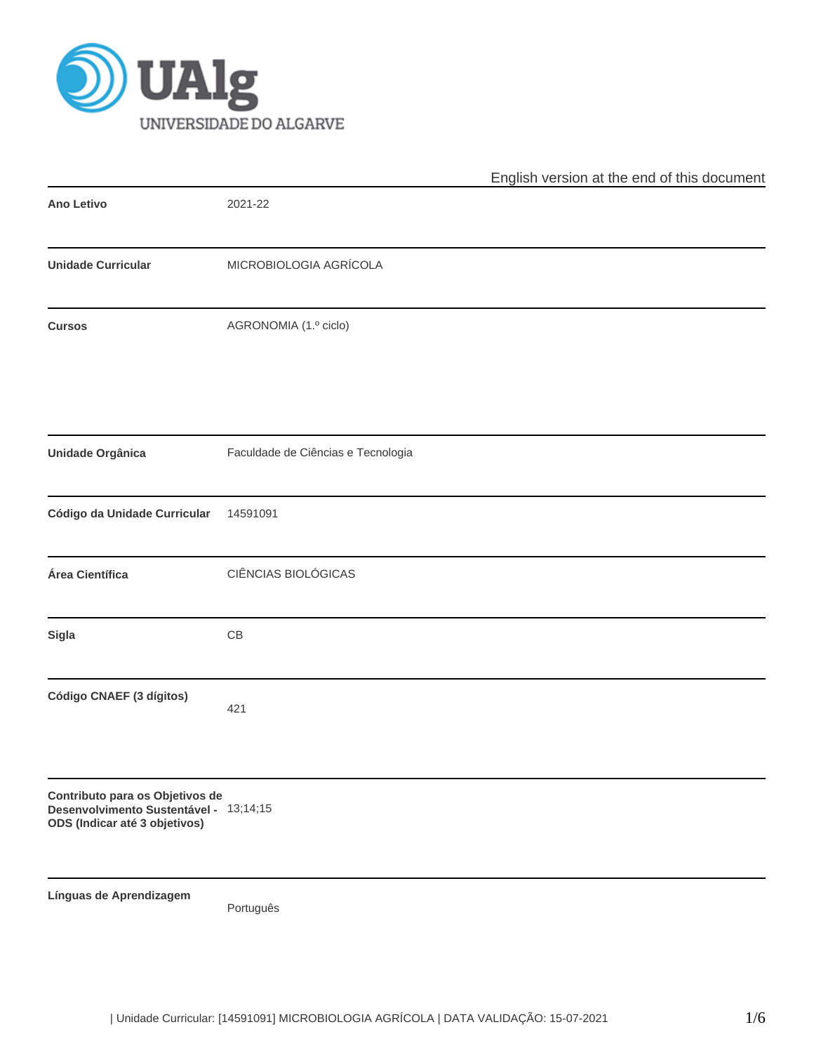

|                                                                                                            | English version at the end of this document |  |  |  |  |  |  |
|------------------------------------------------------------------------------------------------------------|---------------------------------------------|--|--|--|--|--|--|
| Ano Letivo                                                                                                 | 2021-22                                     |  |  |  |  |  |  |
| <b>Unidade Curricular</b>                                                                                  | MICROBIOLOGIA AGRÍCOLA                      |  |  |  |  |  |  |
| <b>Cursos</b>                                                                                              | AGRONOMIA (1.º ciclo)                       |  |  |  |  |  |  |
| Unidade Orgânica                                                                                           | Faculdade de Ciências e Tecnologia          |  |  |  |  |  |  |
| Código da Unidade Curricular                                                                               | 14591091                                    |  |  |  |  |  |  |
| Área Científica                                                                                            | CIÊNCIAS BIOLÓGICAS                         |  |  |  |  |  |  |
| Sigla                                                                                                      | $\mathbb{C}\mathbb{B}$                      |  |  |  |  |  |  |
| Código CNAEF (3 dígitos)                                                                                   | 421                                         |  |  |  |  |  |  |
| Contributo para os Objetivos de<br>Desenvolvimento Sustentável - 13;14;15<br>ODS (Indicar até 3 objetivos) |                                             |  |  |  |  |  |  |
| Línguas de Aprendizagem                                                                                    | Português                                   |  |  |  |  |  |  |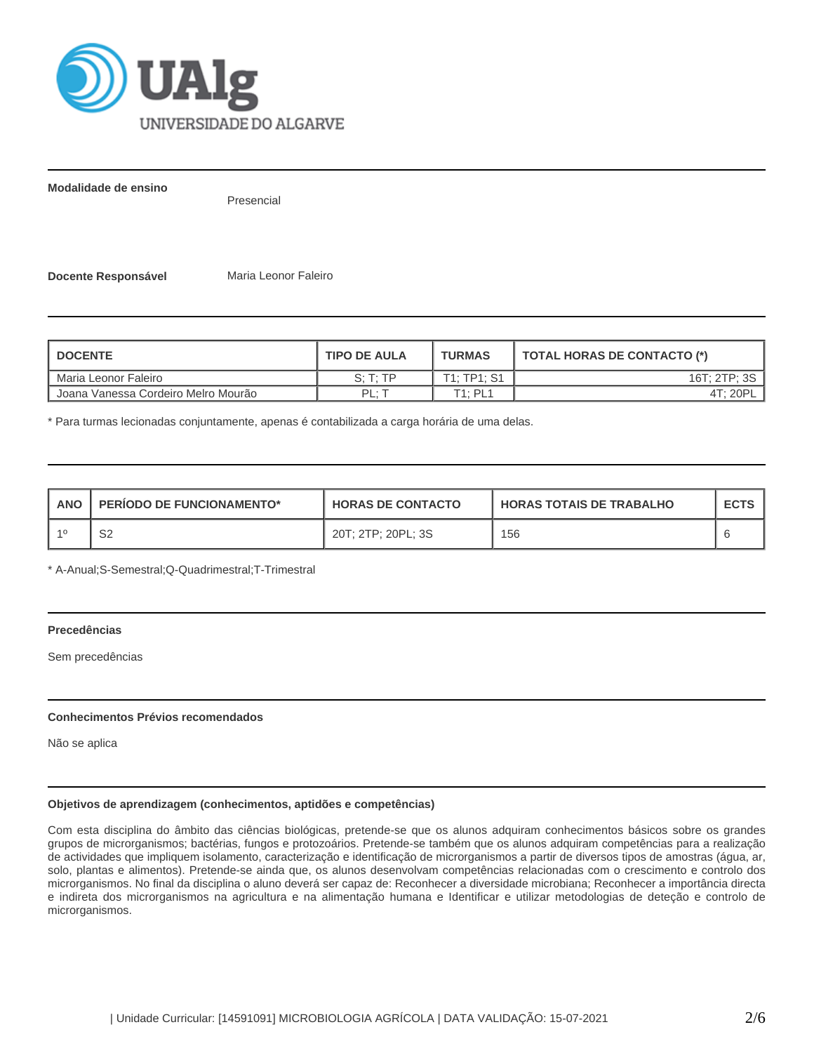

**Modalidade de ensino**

Presencial

**Docente Responsável** Maria Leonor Faleiro

| <b>I DOCENTE</b>                    | <b>TIPO DE AULA</b>  | <b>TURMAS</b> | <b>TOTAL HORAS DE CONTACTO (*)</b> |
|-------------------------------------|----------------------|---------------|------------------------------------|
| Maria Leonor Faleiro                | $S \cdot T \cdot TP$ | T1: TP1: S1   | 16T: 2TP: 3S                       |
| Joana Vanessa Cordeiro Melro Mourão | $PI \cdot 7$         | T1: PL1       | 4T: 20PL                           |

\* Para turmas lecionadas conjuntamente, apenas é contabilizada a carga horária de uma delas.

| <b>ANO</b> | <b>PERIODO DE FUNCIONAMENTO*</b> | <b>HORAS DE CONTACTO</b> | <b>HORAS TOTAIS DE TRABALHO</b> | <b>ECTS</b> |
|------------|----------------------------------|--------------------------|---------------------------------|-------------|
|            | ∩∩<br>ےت                         | 20T; 2TP; 20PL; 3S       | 156                             |             |

\* A-Anual;S-Semestral;Q-Quadrimestral;T-Trimestral

# **Precedências**

Sem precedências

## **Conhecimentos Prévios recomendados**

Não se aplica

# **Objetivos de aprendizagem (conhecimentos, aptidões e competências)**

Com esta disciplina do âmbito das ciências biológicas, pretende-se que os alunos adquiram conhecimentos básicos sobre os grandes grupos de microrganismos; bactérias, fungos e protozoários. Pretende-se também que os alunos adquiram competências para a realização de actividades que impliquem isolamento, caracterização e identificação de microrganismos a partir de diversos tipos de amostras (água, ar, solo, plantas e alimentos). Pretende-se ainda que, os alunos desenvolvam competências relacionadas com o crescimento e controlo dos microrganismos. No final da disciplina o aluno deverá ser capaz de: Reconhecer a diversidade microbiana; Reconhecer a importância directa e indireta dos microrganismos na agricultura e na alimentação humana e Identificar e utilizar metodologias de deteção e controlo de microrganismos.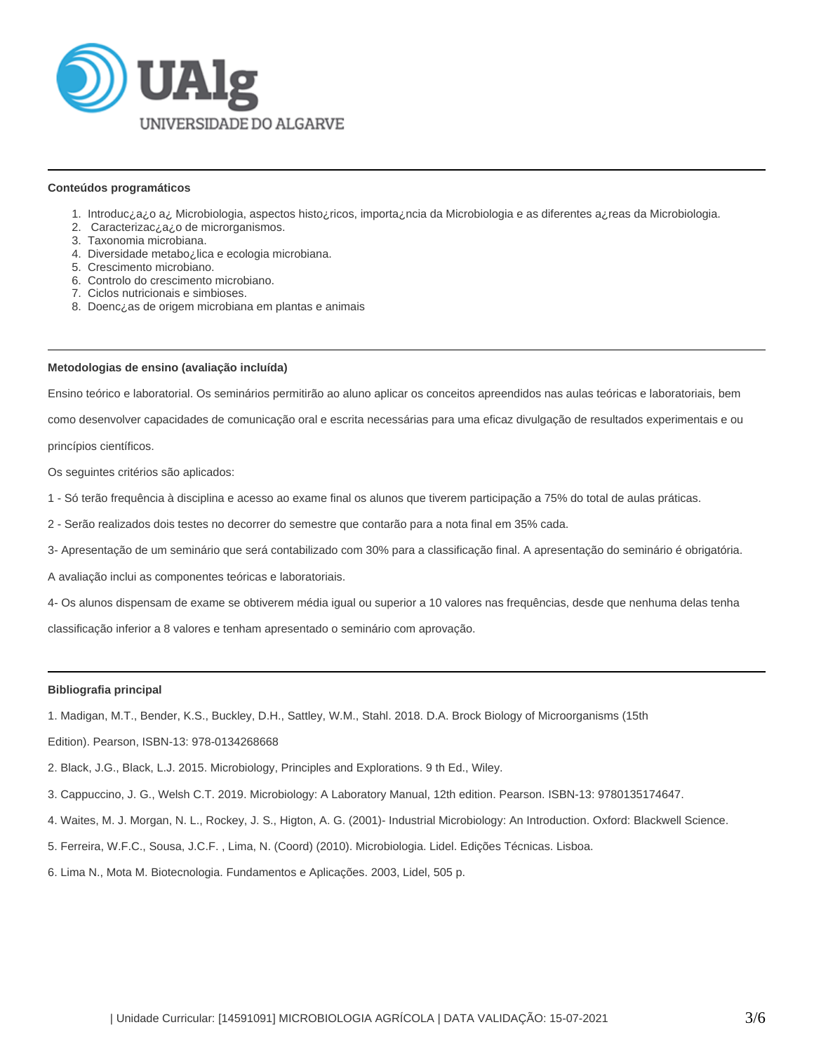

#### **Conteúdos programáticos**

- 1. Introduc¿a¿o a¿ Microbiologia, aspectos histo¿ricos, importa¿ncia da Microbiologia e as diferentes a¿reas da Microbiologia.
- 2. Caracterizac¿a¿o de microrganismos.
- 3. Taxonomia microbiana.
- 4. Diversidade metabo¿lica e ecologia microbiana.
- 5. Crescimento microbiano.
- 6. Controlo do crescimento microbiano.
- 7. Ciclos nutricionais e simbioses.
- 8. Doenc¿as de origem microbiana em plantas e animais

#### **Metodologias de ensino (avaliação incluída)**

Ensino teórico e laboratorial. Os seminários permitirão ao aluno aplicar os conceitos apreendidos nas aulas teóricas e laboratoriais, bem

como desenvolver capacidades de comunicação oral e escrita necessárias para uma eficaz divulgação de resultados experimentais e ou

princípios científicos.

Os seguintes critérios são aplicados:

- 1 Só terão frequência à disciplina e acesso ao exame final os alunos que tiverem participação a 75% do total de aulas práticas.
- 2 Serão realizados dois testes no decorrer do semestre que contarão para a nota final em 35% cada.
- 3- Apresentação de um seminário que será contabilizado com 30% para a classificação final. A apresentação do seminário é obrigatória.

A avaliação inclui as componentes teóricas e laboratoriais.

4- Os alunos dispensam de exame se obtiverem média igual ou superior a 10 valores nas frequências, desde que nenhuma delas tenha

classificação inferior a 8 valores e tenham apresentado o seminário com aprovação.

#### **Bibliografia principal**

1. Madigan, M.T., Bender, K.S., Buckley, D.H., Sattley, W.M., Stahl. 2018. D.A. Brock Biology of Microorganisms (15th

Edition). Pearson, ISBN-13: 978-0134268668

- 2. Black, J.G., Black, L.J. 2015. Microbiology, Principles and Explorations. 9 th Ed., Wiley.
- 3. Cappuccino, J. G., Welsh C.T. 2019. Microbiology: A Laboratory Manual, 12th edition. Pearson. ISBN-13: 9780135174647.
- 4. Waites, M. J. Morgan, N. L., Rockey, J. S., Higton, A. G. (2001)- Industrial Microbiology: An Introduction. Oxford: Blackwell Science.
- 5. Ferreira, W.F.C., Sousa, J.C.F. , Lima, N. (Coord) (2010). Microbiologia. Lidel. Edições Técnicas. Lisboa.
- 6. Lima N., Mota M. Biotecnologia. Fundamentos e Aplicações. 2003, Lidel, 505 p.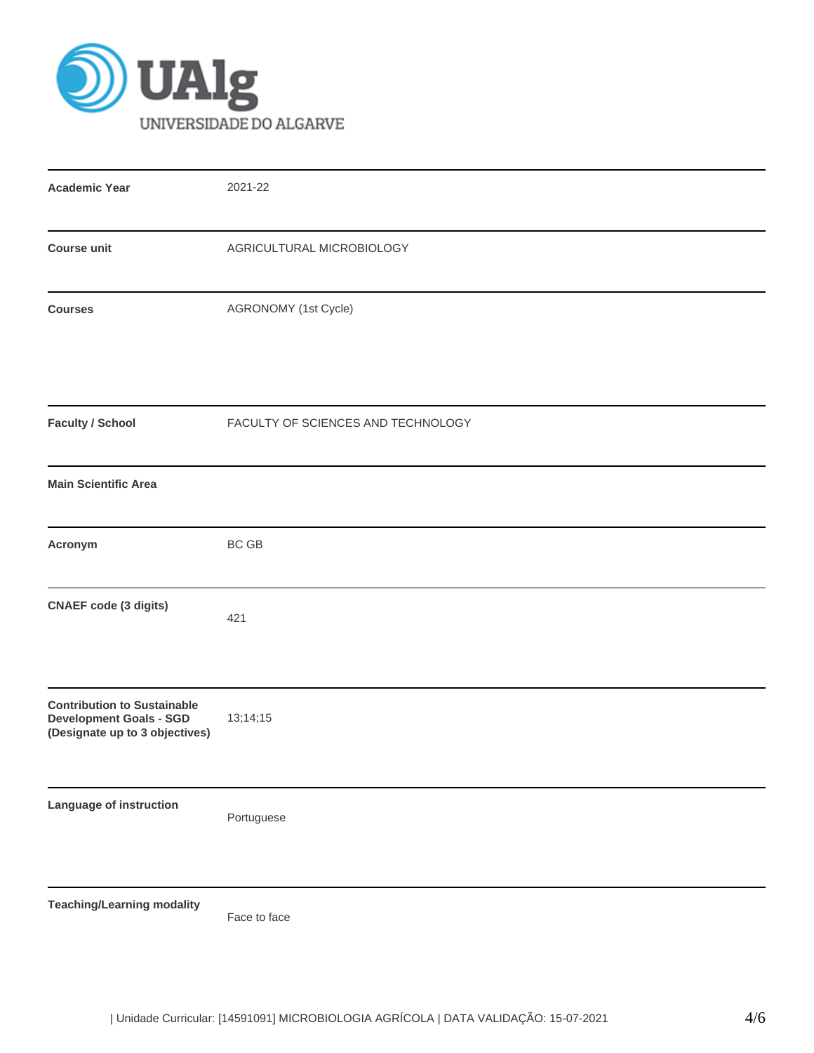

| <b>Academic Year</b>                                                                                   | 2021-22                            |
|--------------------------------------------------------------------------------------------------------|------------------------------------|
| <b>Course unit</b>                                                                                     | AGRICULTURAL MICROBIOLOGY          |
| <b>Courses</b>                                                                                         | AGRONOMY (1st Cycle)               |
| <b>Faculty / School</b>                                                                                | FACULTY OF SCIENCES AND TECHNOLOGY |
| <b>Main Scientific Area</b>                                                                            |                                    |
| Acronym                                                                                                | BC GB                              |
| <b>CNAEF</b> code (3 digits)                                                                           | 421                                |
| <b>Contribution to Sustainable</b><br><b>Development Goals - SGD</b><br>(Designate up to 3 objectives) | 13;14;15                           |
| Language of instruction                                                                                | Portuguese                         |
| <b>Teaching/Learning modality</b>                                                                      | Face to face                       |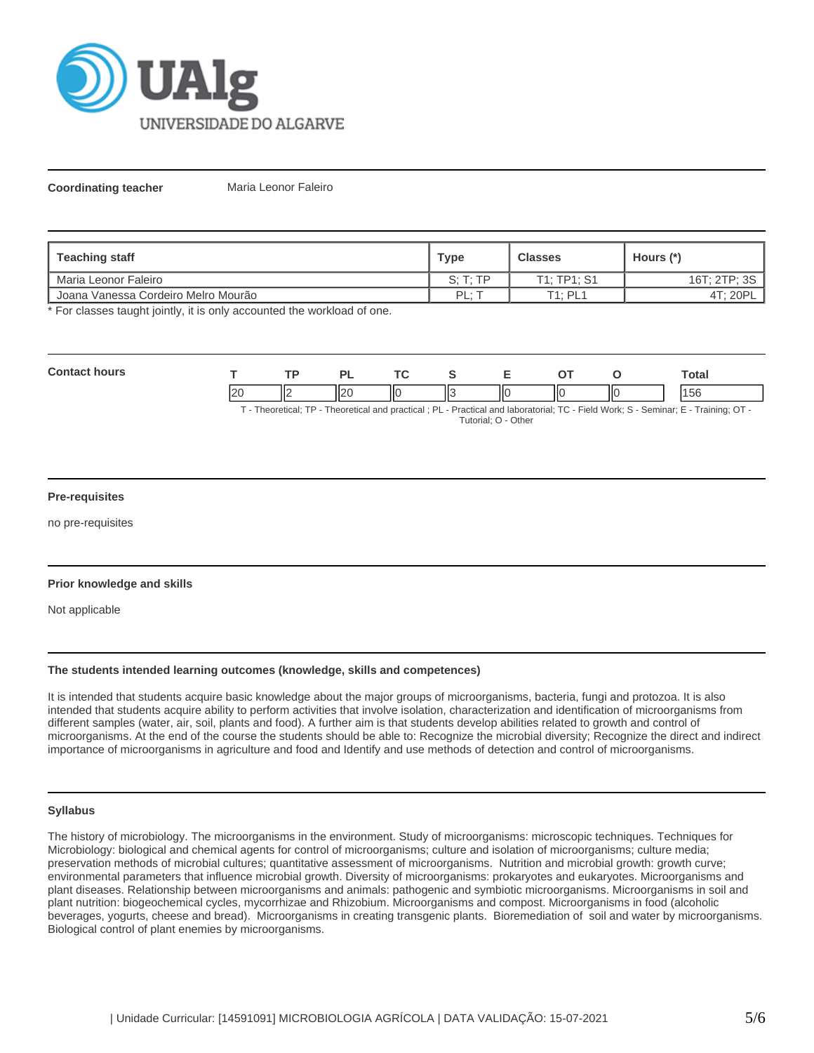

**Coordinating teacher** Maria Leonor Faleiro

| Teaching staff                                   | <b>Type</b> | <b>Classes</b>        | Hours (*)    |
|--------------------------------------------------|-------------|-----------------------|--------------|
| I Maria Leonor Faleiro                           | S: T: TP    | T1: TP1: S1           | 16T: 2TP: 3S |
| <sup>1</sup> Joana Vanessa Cordeiro Melro Mourão | PI:         | $T1 \cdot P1 1$<br>-- | 4T; 20P      |

\* For classes taught jointly, it is only accounted the workload of one.

| Con<br>hours |                          |        | . | <u>те</u> |    |   |    |     | otal                 |
|--------------|--------------------------|--------|---|-----------|----|---|----|-----|----------------------|
|              | $\Omega$<br>$\mathbf{r}$ | "<br>. |   | IІC       | Ш3 | Ш | ШC | IІC | $\sim$ $\sim$<br>סכו |

T - Theoretical; TP - Theoretical and practical ; PL - Practical and laboratorial; TC - Field Work; S - Seminar; E - Training; OT - Tutorial; O - Other

## **Pre-requisites**

no pre-requisites

# **Prior knowledge and skills**

Not applicable

## **The students intended learning outcomes (knowledge, skills and competences)**

It is intended that students acquire basic knowledge about the major groups of microorganisms, bacteria, fungi and protozoa. It is also intended that students acquire ability to perform activities that involve isolation, characterization and identification of microorganisms from different samples (water, air, soil, plants and food). A further aim is that students develop abilities related to growth and control of microorganisms. At the end of the course the students should be able to: Recognize the microbial diversity; Recognize the direct and indirect importance of microorganisms in agriculture and food and Identify and use methods of detection and control of microorganisms.

## **Syllabus**

The history of microbiology. The microorganisms in the environment. Study of microorganisms: microscopic techniques. Techniques for Microbiology: biological and chemical agents for control of microorganisms; culture and isolation of microorganisms; culture media; preservation methods of microbial cultures; quantitative assessment of microorganisms. Nutrition and microbial growth: growth curve; environmental parameters that influence microbial growth. Diversity of microorganisms: prokaryotes and eukaryotes. Microorganisms and plant diseases. Relationship between microorganisms and animals: pathogenic and symbiotic microorganisms. Microorganisms in soil and plant nutrition: biogeochemical cycles, mycorrhizae and Rhizobium. Microorganisms and compost. Microorganisms in food (alcoholic beverages, yogurts, cheese and bread). Microorganisms in creating transgenic plants. Bioremediation of soil and water by microorganisms. Biological control of plant enemies by microorganisms.